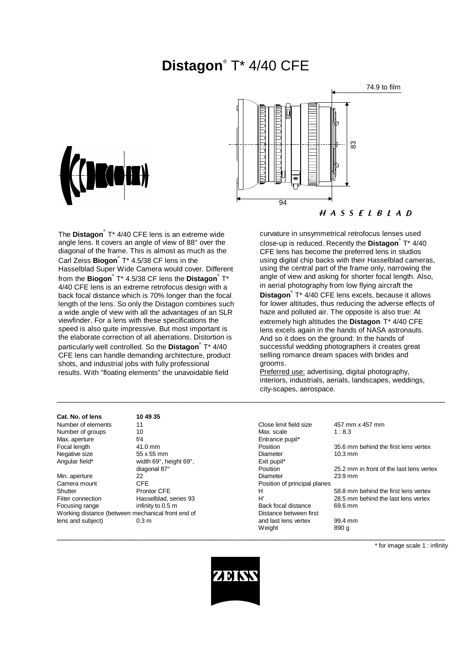# **Distagon**® T\* 4/40 CFE



**Cat. No. of lens 10 49 35** Number of elements and the 11 Number of groups 10 Max. aperture f/4



The **Distagon**® T\* 4/40 CFE lens is an extreme wide angle lens. It covers an angle of view of 88° over the diagonal of the frame. This is almost as much as the Carl Zeiss **Biogon**® T\* 4.5/38 CF lens in the Hasselblad Super Wide Camera would cover. Different from the **Biogon**® T\* 4.5/38 CF lens the **Distagon**® T\* 4/40 CFE lens is an extreme retrofocus design with a back focal distance which is 70% longer than the focal length of the lens. So only the Distagon combines such a wide angle of view with all the advantages of an SLR viewfinder. For a lens with these specifications the speed is also quite impressive. But most important is the elaborate correction of all aberrations. Distortion is particularly well controlled. So the **Distagon**® T\* 4/40 CFE lens can handle demanding architecture, product shots, and industrial jobs with fully professional results. With "floating elements" the unavoidable field

curvature in unsymmetrical retrofocus lenses used close-up is reduced. Recently the **Distagon**® T\* 4/40 CFE lens has become the preferred lens in studios using digital chip backs with their Hasselblad cameras, using the central part of the frame only, narrowing the angle of view and asking for shorter focal length. Also, in aerial photography from low flying aircraft the

**Distagon**® T\* 4/40 CFE lens excels, because it allows for lower altitudes, thus reducing the adverse effects of haze and polluted air. The opposite is also true: At extremely high altitudes the **Distagon** T\* 4/40 CFE lens excels again in the hands of NASA astronauts. And so it does on the ground: In the hands of successful wedding photographers it creates great selling romance dream spaces with brides and grooms.

Preferred use: advertising, digital photography, interiors, industrials, aerials, landscapes, weddings, city-scapes, aerospace.

| Cat. No. or lens                                  | 10 49 35               |                              |                                          |
|---------------------------------------------------|------------------------|------------------------------|------------------------------------------|
| Number of elements                                | 11                     | Close limit field size       | 457 mm x 457 mm                          |
| Number of groups                                  | 10                     | Max. scale                   | 1:8.3                                    |
| Max. aperture                                     | f/4                    | Entrance pupil*              |                                          |
| Focal length                                      | 41.0 mm                | Position                     | 35.6 mm behind the first lens vertex     |
| Negative size                                     | 55 x 55 mm             | Diameter                     | $10.3 \text{ mm}$                        |
| Angular field*                                    | width 69°, height 69°, | Exit pupil*                  |                                          |
|                                                   | diagonal 87°           | Position                     | 25.2 mm in front of the last lens vertex |
| Min. aperture                                     | 22                     | Diameter                     | $23.9$ mm                                |
| Camera mount                                      | <b>CFE</b>             | Position of principal planes |                                          |
| Shutter                                           | <b>Prontor CFE</b>     | н                            | 58.8 mm behind the first lens vertex     |
| Fiiter connection                                 | Hasselblad, series 93  | H'                           | 28.5 mm behind the last lens vertex      |
| Focusing range                                    | infinity to 0.5 m      | Back focal distance          | 69.6 mm                                  |
| Working distance (between mechanical front end of |                        | Distance between first       |                                          |
| lens and subject)                                 | 0.3 <sub>m</sub>       | and last lens vertex         | 99.4 mm                                  |
|                                                   |                        | Weight                       | 890 g                                    |
|                                                   |                        |                              |                                          |

\* for image scale 1 : infinity



 $\_$  ,  $\_$  ,  $\_$  ,  $\_$  ,  $\_$  ,  $\_$  ,  $\_$  ,  $\_$  ,  $\_$  ,  $\_$  ,  $\_$  ,  $\_$  ,  $\_$  ,  $\_$  ,  $\_$  ,  $\_$  ,  $\_$  ,  $\_$  ,  $\_$  ,  $\_$  ,  $\_$  ,  $\_$  ,  $\_$  ,  $\_$  ,  $\_$  ,  $\_$  ,  $\_$  ,  $\_$  ,  $\_$  ,  $\_$  ,  $\_$  ,  $\_$  ,  $\_$  ,  $\_$  ,  $\_$  ,  $\_$  ,  $\_$  ,

\_\_\_\_\_\_\_\_\_\_\_\_\_\_\_\_\_\_\_\_\_\_\_\_\_\_\_\_\_\_\_\_\_\_\_\_\_\_\_\_\_\_\_\_\_\_\_\_\_\_\_\_\_\_\_\_\_\_\_\_\_\_\_\_\_\_\_\_\_\_\_\_\_\_\_\_\_\_\_\_\_\_\_\_\_\_\_\_\_